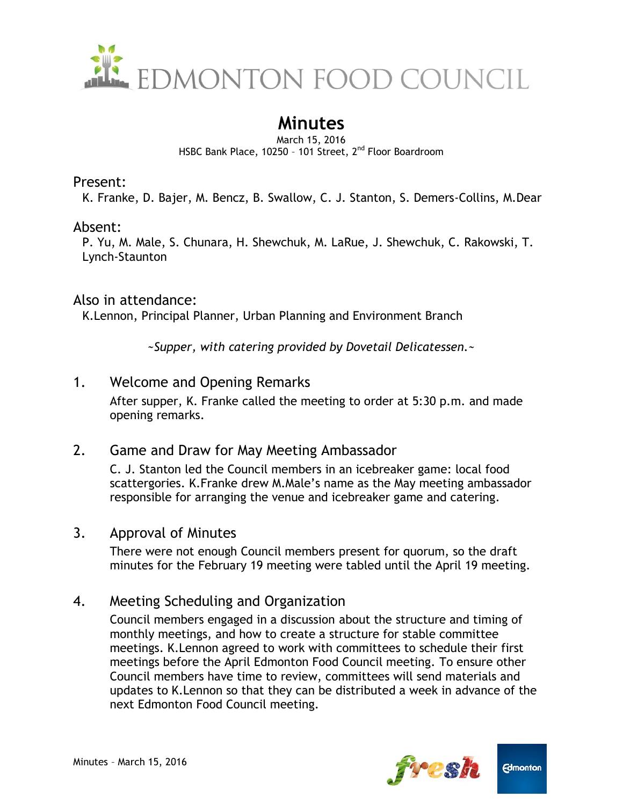

# **Minutes**

March 15, 2016 HSBC Bank Place, 10250 - 101 Street, 2<sup>nd</sup> Floor Boardroom

#### Present:

K. Franke, D. Bajer, M. Bencz, B. Swallow, C. J. Stanton, S. Demers-Collins, M.Dear

#### Absent:

P. Yu, M. Male, S. Chunara, H. Shewchuk, M. LaRue, J. Shewchuk, C. Rakowski, T. Lynch-Staunton

#### Also in attendance:

K.Lennon, Principal Planner, Urban Planning and Environment Branch

*~Supper, with catering provided by Dovetail Delicatessen.~*

# 1. Welcome and Opening Remarks

After supper, K. Franke called the meeting to order at 5:30 p.m. and made opening remarks.

# 2. Game and Draw for May Meeting Ambassador

C. J. Stanton led the Council members in an icebreaker game: local food scattergories. K.Franke drew M.Male's name as the May meeting ambassador responsible for arranging the venue and icebreaker game and catering.

# 3. Approval of Minutes

There were not enough Council members present for quorum, so the draft minutes for the February 19 meeting were tabled until the April 19 meeting.

# 4. Meeting Scheduling and Organization

Council members engaged in a discussion about the structure and timing of monthly meetings, and how to create a structure for stable committee meetings. K.Lennon agreed to work with committees to schedule their first meetings before the April Edmonton Food Council meeting. To ensure other Council members have time to review, committees will send materials and updates to K.Lennon so that they can be distributed a week in advance of the next Edmonton Food Council meeting.